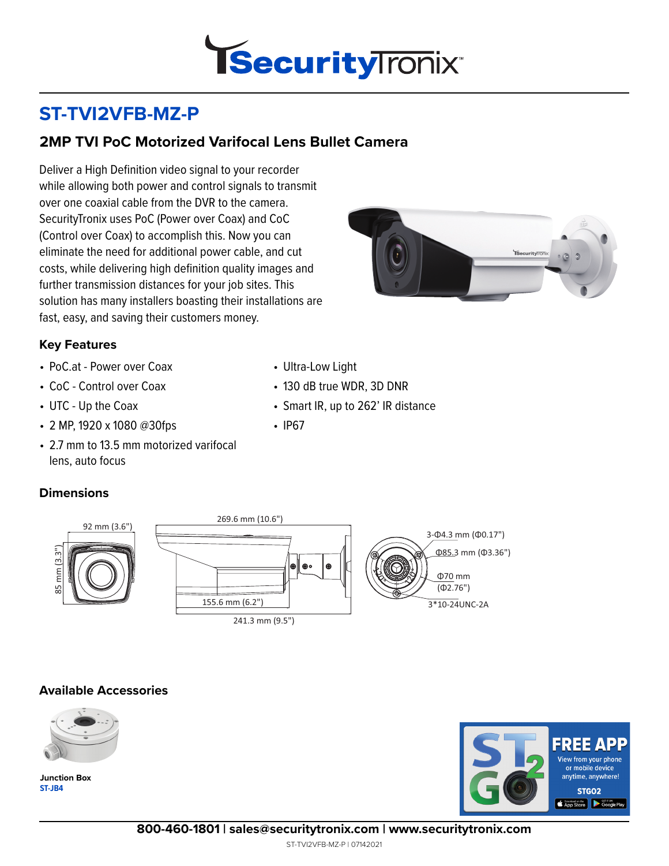

• Smart IR, up to 262' IR distance

• 130 dB true WDR, 3D DNR

• Ultra-Low Light

# **ST-TVI2VFB-MZ-P**

## **2MP TVI PoC Motorized Varifocal Lens Bullet Camera**

Deliver a High Definition video signal to your recorder while allowing both power and control signals to transmit over one coaxial cable from the DVR to the camera. SecurityTronix uses PoC (Power over Coax) and CoC (Control over Coax) to accomplish this. Now you can eliminate the need for additional power cable, and cut costs, while delivering high definition quality images and further transmission distances for your job sites. This solution has many installers boasting their installations are fast, easy, and saving their customers money.



#### **Key Features**

- PoC.at Power over Coax
- CoC Control over Coax
- UTC Up the Coax
- 2 MP, 1920 x 1080 @30fps
- 2.7 mm to 13.5 mm motorized varifocal lens, auto focus

### **Dimensions**

58 mm (3.3")

 $mm (3.3<sup>11</sup>)$ 



• IP67

#### **Available Accessories**



**ST-JB4 Junction Box**



**800-460-1801 | sales@securitytronix.com | www.securitytronix.com**

ST-TVI2VFB-MZ-P | 07142021